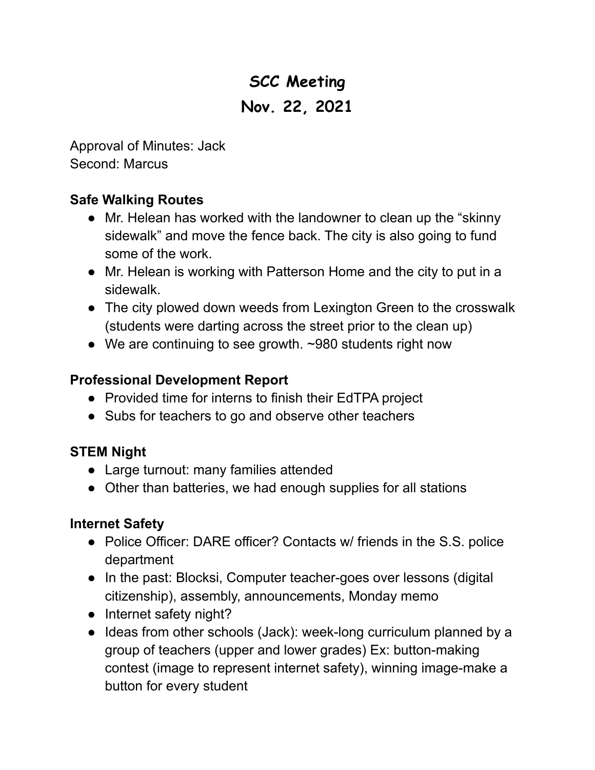# **SCC Meeting Nov. 22, 2021**

Approval of Minutes: Jack Second: Marcus

# **Safe Walking Routes**

- **●** Mr. Helean has worked with the landowner to clean up the "skinny sidewalk" and move the fence back. The city is also going to fund some of the work.
- Mr. Helean is working with Patterson Home and the city to put in a sidewalk.
- The city plowed down weeds from Lexington Green to the crosswalk (students were darting across the street prior to the clean up)
- We are continuing to see growth. ~980 students right now

### **Professional Development Report**

- Provided time for interns to finish their EdTPA project
- Subs for teachers to go and observe other teachers

# **STEM Night**

- Large turnout: many families attended
- Other than batteries, we had enough supplies for all stations

# **Internet Safety**

- Police Officer: DARE officer? Contacts w/ friends in the S.S. police department
- In the past: Blocksi, Computer teacher-goes over lessons (digital citizenship), assembly, announcements, Monday memo
- Internet safety night?
- Ideas from other schools (Jack): week-long curriculum planned by a group of teachers (upper and lower grades) Ex: button-making contest (image to represent internet safety), winning image-make a button for every student